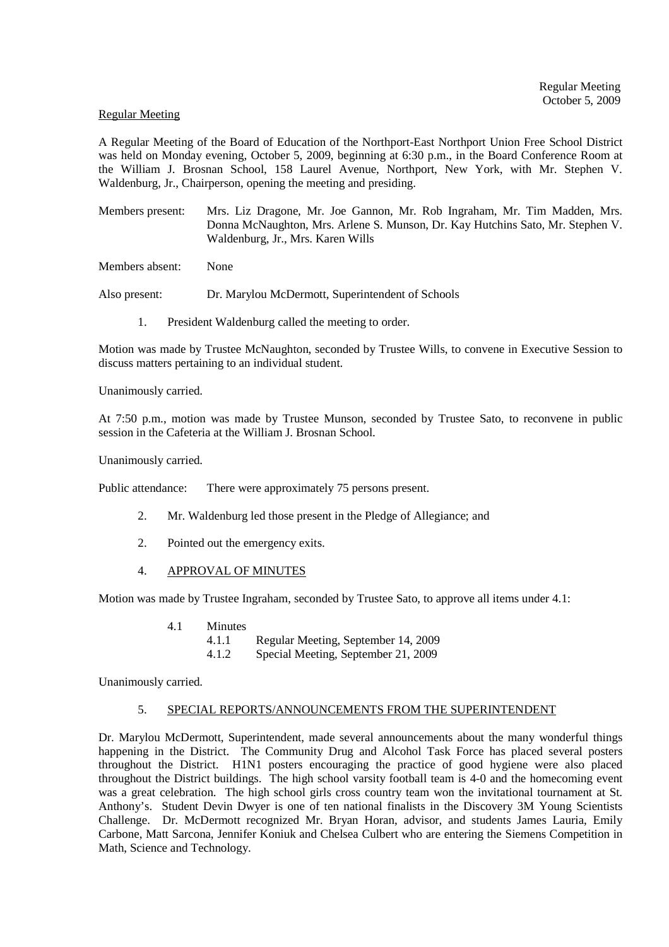#### Regular Meeting

A Regular Meeting of the Board of Education of the Northport-East Northport Union Free School District was held on Monday evening, October 5, 2009, beginning at 6:30 p.m., in the Board Conference Room at the William J. Brosnan School, 158 Laurel Avenue, Northport, New York, with Mr. Stephen V. Waldenburg, Jr., Chairperson, opening the meeting and presiding.

Members present: Mrs. Liz Dragone, Mr. Joe Gannon, Mr. Rob Ingraham, Mr. Tim Madden, Mrs. Donna McNaughton, Mrs. Arlene S. Munson, Dr. Kay Hutchins Sato, Mr. Stephen V. Waldenburg, Jr., Mrs. Karen Wills

Members absent: None

Also present: Dr. Marylou McDermott, Superintendent of Schools

1. President Waldenburg called the meeting to order.

Motion was made by Trustee McNaughton, seconded by Trustee Wills, to convene in Executive Session to discuss matters pertaining to an individual student.

Unanimously carried.

At 7:50 p.m., motion was made by Trustee Munson, seconded by Trustee Sato, to reconvene in public session in the Cafeteria at the William J. Brosnan School.

Unanimously carried.

Public attendance: There were approximately 75 persons present.

- 2. Mr. Waldenburg led those present in the Pledge of Allegiance; and
- 2. Pointed out the emergency exits.
- 4. APPROVAL OF MINUTES

Motion was made by Trustee Ingraham, seconded by Trustee Sato, to approve all items under 4.1:

- 4.1 Minutes 4.1.1 Regular Meeting, September 14, 2009
	- 4.1.2 Special Meeting, September 21, 2009

Unanimously carried.

# 5. SPECIAL REPORTS/ANNOUNCEMENTS FROM THE SUPERINTENDENT

Dr. Marylou McDermott, Superintendent, made several announcements about the many wonderful things happening in the District. The Community Drug and Alcohol Task Force has placed several posters throughout the District. H1N1 posters encouraging the practice of good hygiene were also placed throughout the District buildings. The high school varsity football team is 4-0 and the homecoming event was a great celebration. The high school girls cross country team won the invitational tournament at St. Anthony's. Student Devin Dwyer is one of ten national finalists in the Discovery 3M Young Scientists Challenge. Dr. McDermott recognized Mr. Bryan Horan, advisor, and students James Lauria, Emily Carbone, Matt Sarcona, Jennifer Koniuk and Chelsea Culbert who are entering the Siemens Competition in Math, Science and Technology.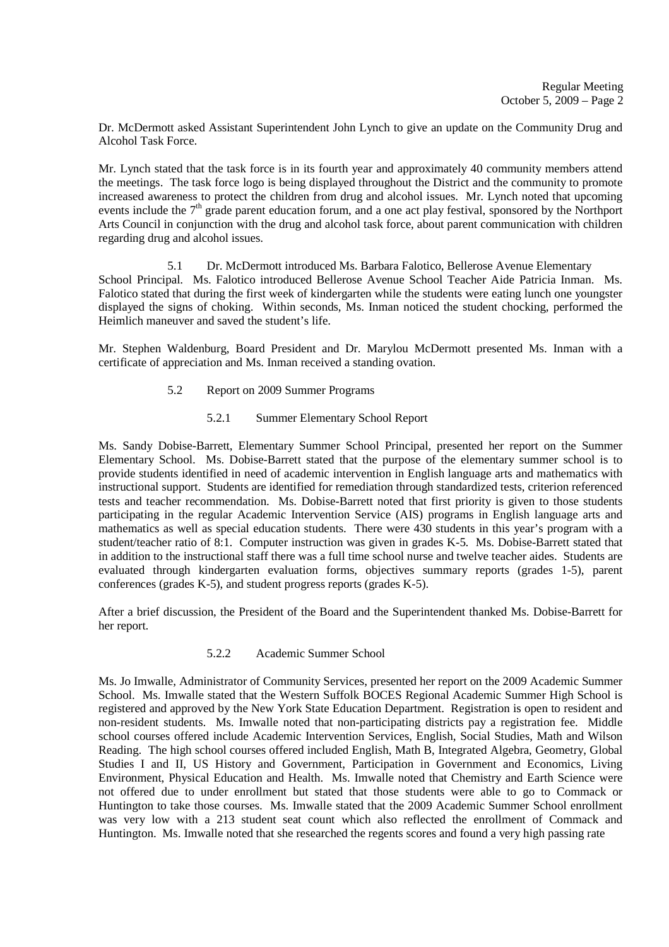Dr. McDermott asked Assistant Superintendent John Lynch to give an update on the Community Drug and Alcohol Task Force.

Mr. Lynch stated that the task force is in its fourth year and approximately 40 community members attend the meetings. The task force logo is being displayed throughout the District and the community to promote increased awareness to protect the children from drug and alcohol issues. Mr. Lynch noted that upcoming events include the  $7<sup>th</sup>$  grade parent education forum, and a one act play festival, sponsored by the Northport Arts Council in conjunction with the drug and alcohol task force, about parent communication with children regarding drug and alcohol issues.

5.1 Dr. McDermott introduced Ms. Barbara Falotico, Bellerose Avenue Elementary School Principal. Ms. Falotico introduced Bellerose Avenue School Teacher Aide Patricia Inman. Ms. Falotico stated that during the first week of kindergarten while the students were eating lunch one youngster displayed the signs of choking. Within seconds, Ms. Inman noticed the student chocking, performed the Heimlich maneuver and saved the student's life.

Mr. Stephen Waldenburg, Board President and Dr. Marylou McDermott presented Ms. Inman with a certificate of appreciation and Ms. Inman received a standing ovation.

- 5.2 Report on 2009 Summer Programs
	- 5.2.1 Summer Elementary School Report

Ms. Sandy Dobise-Barrett, Elementary Summer School Principal, presented her report on the Summer Elementary School. Ms. Dobise-Barrett stated that the purpose of the elementary summer school is to provide students identified in need of academic intervention in English language arts and mathematics with instructional support. Students are identified for remediation through standardized tests, criterion referenced tests and teacher recommendation. Ms. Dobise-Barrett noted that first priority is given to those students participating in the regular Academic Intervention Service (AIS) programs in English language arts and mathematics as well as special education students. There were 430 students in this year's program with a student/teacher ratio of 8:1. Computer instruction was given in grades K-5. Ms. Dobise-Barrett stated that in addition to the instructional staff there was a full time school nurse and twelve teacher aides. Students are evaluated through kindergarten evaluation forms, objectives summary reports (grades 1-5), parent conferences (grades K-5), and student progress reports (grades K-5).

After a brief discussion, the President of the Board and the Superintendent thanked Ms. Dobise-Barrett for her report.

# 5.2.2 Academic Summer School

Ms. Jo Imwalle, Administrator of Community Services, presented her report on the 2009 Academic Summer School. Ms. Imwalle stated that the Western Suffolk BOCES Regional Academic Summer High School is registered and approved by the New York State Education Department. Registration is open to resident and non-resident students. Ms. Imwalle noted that non-participating districts pay a registration fee. Middle school courses offered include Academic Intervention Services, English, Social Studies, Math and Wilson Reading. The high school courses offered included English, Math B, Integrated Algebra, Geometry, Global Studies I and II, US History and Government, Participation in Government and Economics, Living Environment, Physical Education and Health. Ms. Imwalle noted that Chemistry and Earth Science were not offered due to under enrollment but stated that those students were able to go to Commack or Huntington to take those courses. Ms. Imwalle stated that the 2009 Academic Summer School enrollment was very low with a 213 student seat count which also reflected the enrollment of Commack and Huntington. Ms. Imwalle noted that she researched the regents scores and found a very high passing rate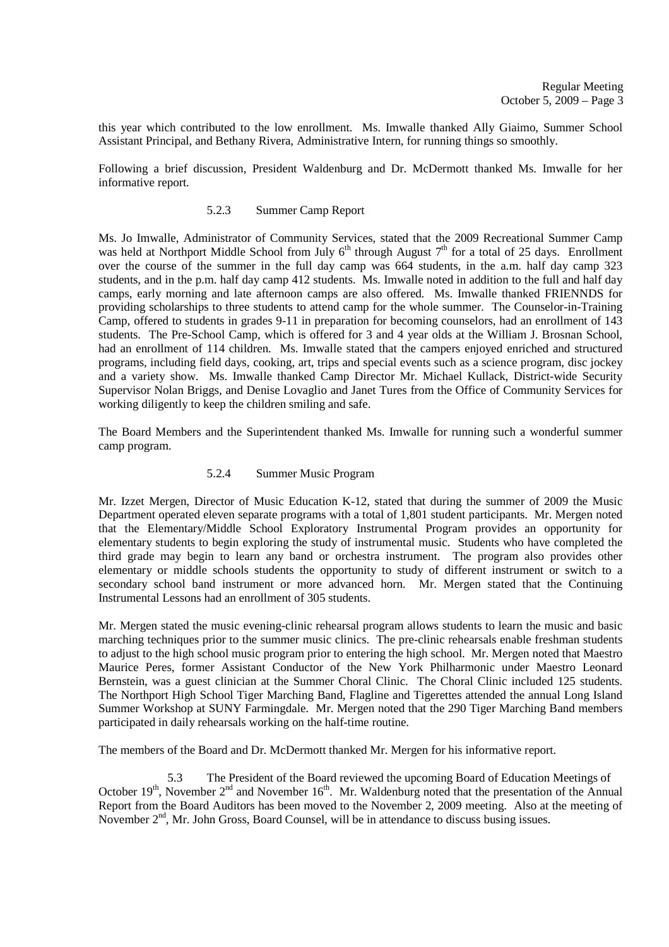this year which contributed to the low enrollment. Ms. Imwalle thanked Ally Giaimo, Summer School Assistant Principal, and Bethany Rivera, Administrative Intern, for running things so smoothly.

Following a brief discussion, President Waldenburg and Dr. McDermott thanked Ms. Imwalle for her informative report.

# 5.2.3 Summer Camp Report

Ms. Jo Imwalle, Administrator of Community Services, stated that the 2009 Recreational Summer Camp was held at Northport Middle School from July  $6<sup>th</sup>$  through August  $7<sup>th</sup>$  for a total of 25 days. Enrollment over the course of the summer in the full day camp was 664 students, in the a.m. half day camp 323 students, and in the p.m. half day camp 412 students. Ms. Imwalle noted in addition to the full and half day camps, early morning and late afternoon camps are also offered. Ms. Imwalle thanked FRIENNDS for providing scholarships to three students to attend camp for the whole summer. The Counselor-in-Training Camp, offered to students in grades 9-11 in preparation for becoming counselors, had an enrollment of 143 students. The Pre-School Camp, which is offered for 3 and 4 year olds at the William J. Brosnan School, had an enrollment of 114 children. Ms. Imwalle stated that the campers enjoyed enriched and structured programs, including field days, cooking, art, trips and special events such as a science program, disc jockey and a variety show. Ms. Imwalle thanked Camp Director Mr. Michael Kullack, District-wide Security Supervisor Nolan Briggs, and Denise Lovaglio and Janet Tures from the Office of Community Services for working diligently to keep the children smiling and safe.

The Board Members and the Superintendent thanked Ms. Imwalle for running such a wonderful summer camp program.

### 5.2.4 Summer Music Program

Mr. Izzet Mergen, Director of Music Education K-12, stated that during the summer of 2009 the Music Department operated eleven separate programs with a total of 1,801 student participants. Mr. Mergen noted that the Elementary/Middle School Exploratory Instrumental Program provides an opportunity for elementary students to begin exploring the study of instrumental music. Students who have completed the third grade may begin to learn any band or orchestra instrument. The program also provides other elementary or middle schools students the opportunity to study of different instrument or switch to a secondary school band instrument or more advanced horn. Mr. Mergen stated that the Continuing Instrumental Lessons had an enrollment of 305 students.

Mr. Mergen stated the music evening-clinic rehearsal program allows students to learn the music and basic marching techniques prior to the summer music clinics. The pre-clinic rehearsals enable freshman students to adjust to the high school music program prior to entering the high school. Mr. Mergen noted that Maestro Maurice Peres, former Assistant Conductor of the New York Philharmonic under Maestro Leonard Bernstein, was a guest clinician at the Summer Choral Clinic. The Choral Clinic included 125 students. The Northport High School Tiger Marching Band, Flagline and Tigerettes attended the annual Long Island Summer Workshop at SUNY Farmingdale. Mr. Mergen noted that the 290 Tiger Marching Band members participated in daily rehearsals working on the half-time routine.

The members of the Board and Dr. McDermott thanked Mr. Mergen for his informative report.

5.3 The President of the Board reviewed the upcoming Board of Education Meetings of October  $19<sup>th</sup>$ , November  $2<sup>nd</sup>$  and November  $16<sup>th</sup>$ . Mr. Waldenburg noted that the presentation of the Annual Report from the Board Auditors has been moved to the November 2, 2009 meeting. Also at the meeting of November 2<sup>nd</sup>, Mr. John Gross, Board Counsel, will be in attendance to discuss busing issues.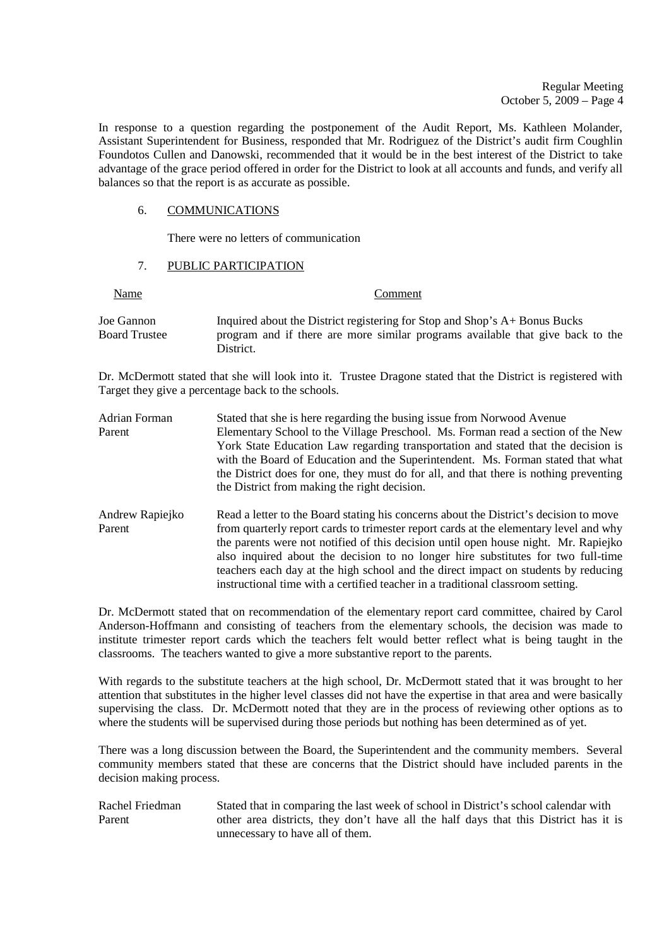In response to a question regarding the postponement of the Audit Report, Ms. Kathleen Molander, Assistant Superintendent for Business, responded that Mr. Rodriguez of the District's audit firm Coughlin Foundotos Cullen and Danowski, recommended that it would be in the best interest of the District to take advantage of the grace period offered in order for the District to look at all accounts and funds, and verify all balances so that the report is as accurate as possible.

### 6. COMMUNICATIONS

There were no letters of communication

#### 7. PUBLIC PARTICIPATION

Name Comment

| Inquired about the District registering for Stop and Shop's A+ Bonus Bucks                  |  |  |
|---------------------------------------------------------------------------------------------|--|--|
| program and if there are more similar programs available that give back to the<br>District. |  |  |
|                                                                                             |  |  |
|                                                                                             |  |  |

Dr. McDermott stated that she will look into it. Trustee Dragone stated that the District is registered with Target they give a percentage back to the schools.

Adrian Forman Stated that she is here regarding the busing issue from Norwood Avenue Parent Elementary School to the Village Preschool. Ms. Forman read a section of the New York State Education Law regarding transportation and stated that the decision is with the Board of Education and the Superintendent. Ms. Forman stated that what the District does for one, they must do for all, and that there is nothing preventing the District from making the right decision. Andrew Rapiejko Read a letter to the Board stating his concerns about the District's decision to move Parent from quarterly report cards to trimester report cards at the elementary level and why the parents were not notified of this decision until open house night. Mr. Rapiejko also inquired about the decision to no longer hire substitutes for two full-time

Dr. McDermott stated that on recommendation of the elementary report card committee, chaired by Carol Anderson-Hoffmann and consisting of teachers from the elementary schools, the decision was made to institute trimester report cards which the teachers felt would better reflect what is being taught in the classrooms. The teachers wanted to give a more substantive report to the parents.

teachers each day at the high school and the direct impact on students by reducing

instructional time with a certified teacher in a traditional classroom setting.

With regards to the substitute teachers at the high school, Dr. McDermott stated that it was brought to her attention that substitutes in the higher level classes did not have the expertise in that area and were basically supervising the class. Dr. McDermott noted that they are in the process of reviewing other options as to where the students will be supervised during those periods but nothing has been determined as of yet.

There was a long discussion between the Board, the Superintendent and the community members. Several community members stated that these are concerns that the District should have included parents in the decision making process.

Rachel Friedman Stated that in comparing the last week of school in District's school calendar with Parent other area districts, they don't have all the half days that this District has it is unnecessary to have all of them.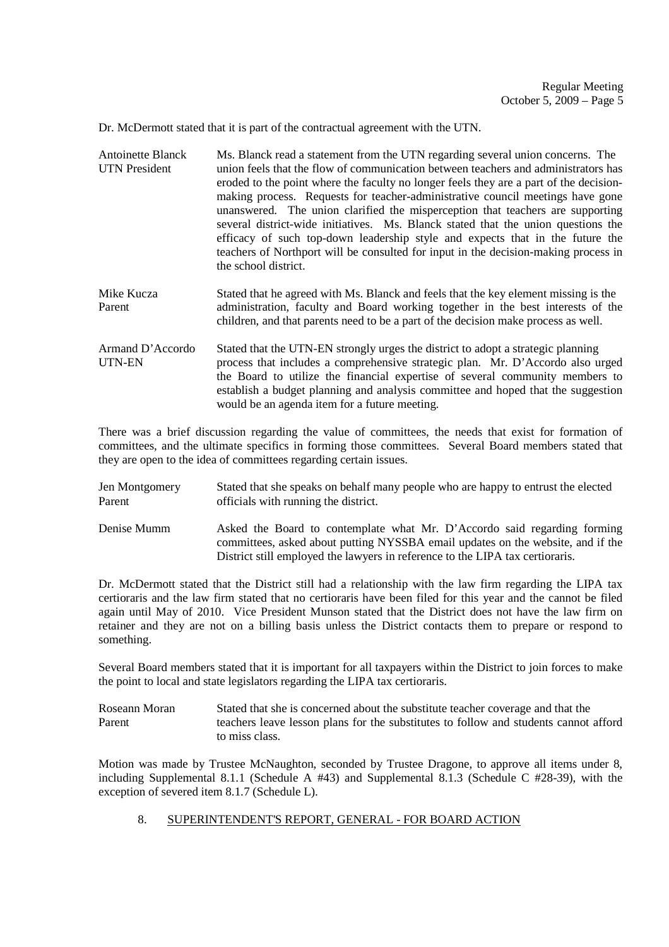Dr. McDermott stated that it is part of the contractual agreement with the UTN.

- Antoinette Blanck Ms. Blanck read a statement from the UTN regarding several union concerns. The UTN President union feels that the flow of communication between teachers and administrators has eroded to the point where the faculty no longer feels they are a part of the decisionmaking process. Requests for teacher-administrative council meetings have gone unanswered. The union clarified the misperception that teachers are supporting several district-wide initiatives. Ms. Blanck stated that the union questions the efficacy of such top-down leadership style and expects that in the future the teachers of Northport will be consulted for input in the decision-making process in the school district.
- Mike Kucza Stated that he agreed with Ms. Blanck and feels that the key element missing is the Parent administration, faculty and Board working together in the best interests of the children, and that parents need to be a part of the decision make process as well.
- Armand D'Accordo Stated that the UTN-EN strongly urges the district to adopt a strategic planning UTN-EN process that includes a comprehensive strategic plan. Mr. D'Accordo also urged the Board to utilize the financial expertise of several community members to establish a budget planning and analysis committee and hoped that the suggestion would be an agenda item for a future meeting.

There was a brief discussion regarding the value of committees, the needs that exist for formation of committees, and the ultimate specifics in forming those committees. Several Board members stated that they are open to the idea of committees regarding certain issues.

- Jen Montgomery Stated that she speaks on behalf many people who are happy to entrust the elected Parent officials with running the district.
- Denise Mumm Asked the Board to contemplate what Mr. D'Accordo said regarding forming committees, asked about putting NYSSBA email updates on the website, and if the District still employed the lawyers in reference to the LIPA tax certioraris.

Dr. McDermott stated that the District still had a relationship with the law firm regarding the LIPA tax certioraris and the law firm stated that no certioraris have been filed for this year and the cannot be filed again until May of 2010. Vice President Munson stated that the District does not have the law firm on retainer and they are not on a billing basis unless the District contacts them to prepare or respond to something.

Several Board members stated that it is important for all taxpayers within the District to join forces to make the point to local and state legislators regarding the LIPA tax certioraris.

Roseann Moran Stated that she is concerned about the substitute teacher coverage and that the Parent teachers leave lesson plans for the substitutes to follow and students cannot afford to miss class.

Motion was made by Trustee McNaughton, seconded by Trustee Dragone, to approve all items under 8, including Supplemental 8.1.1 (Schedule A #43) and Supplemental 8.1.3 (Schedule C #28-39), with the exception of severed item 8.1.7 (Schedule L).

8. SUPERINTENDENT'S REPORT, GENERAL - FOR BOARD ACTION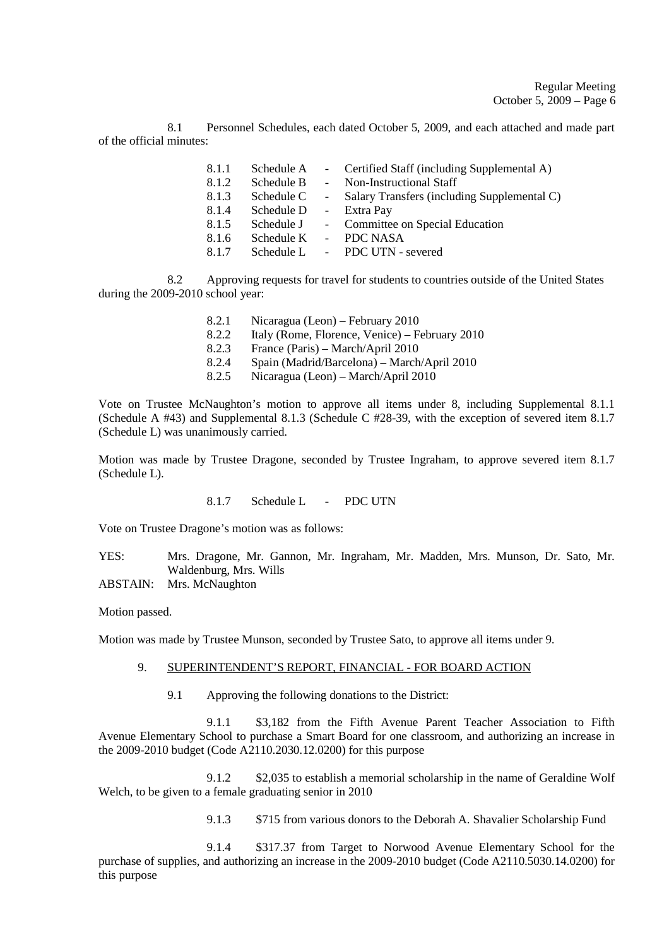8.1 Personnel Schedules, each dated October 5, 2009, and each attached and made part of the official minutes:

| 8.1.1 | Schedule A |                 | - Certified Staff (including Supplemental A) |
|-------|------------|-----------------|----------------------------------------------|
| 8.1.2 | Schedule B | $\sim$ 10 $\pm$ | Non-Instructional Staff                      |
| 8.1.3 | Schedule C |                 | Salary Transfers (including Supplemental C)  |
| 8.1.4 | Schedule D |                 | - Extra Pay                                  |
| 8.1.5 | Schedule J |                 | - Committee on Special Education             |
| 8.1.6 | Schedule K |                 | - PDC NASA                                   |
| 8.1.7 | Schedule L |                 | - PDC UTN - severed                          |

8.2 Approving requests for travel for students to countries outside of the United States during the 2009-2010 school year:

- 8.2.1 Nicaragua (Leon) February 2010
- 8.2.2 Italy (Rome, Florence, Venice) February 2010
- 8.2.3 France (Paris) March/April 2010
- 8.2.4 Spain (Madrid/Barcelona) March/April 2010<br>8.2.5 Nicaragua (Leon) March/April 2010
- 8.2.5 Nicaragua (Leon) March/April 2010

Vote on Trustee McNaughton's motion to approve all items under 8, including Supplemental 8.1.1 (Schedule A #43) and Supplemental 8.1.3 (Schedule C #28-39, with the exception of severed item 8.1.7 (Schedule L) was unanimously carried.

Motion was made by Trustee Dragone, seconded by Trustee Ingraham, to approve severed item 8.1.7 (Schedule L).

8.1.7 Schedule L - PDC UTN

Vote on Trustee Dragone's motion was as follows:

YES: Mrs. Dragone, Mr. Gannon, Mr. Ingraham, Mr. Madden, Mrs. Munson, Dr. Sato, Mr. Waldenburg, Mrs. Wills

ABSTAIN: Mrs. McNaughton

Motion passed.

Motion was made by Trustee Munson, seconded by Trustee Sato, to approve all items under 9.

#### 9. SUPERINTENDENT'S REPORT, FINANCIAL - FOR BOARD ACTION

9.1 Approving the following donations to the District:

 9.1.1 \$3,182 from the Fifth Avenue Parent Teacher Association to Fifth Avenue Elementary School to purchase a Smart Board for one classroom, and authorizing an increase in the 2009-2010 budget (Code A2110.2030.12.0200) for this purpose

 9.1.2 \$2,035 to establish a memorial scholarship in the name of Geraldine Wolf Welch, to be given to a female graduating senior in 2010

9.1.3 \$715 from various donors to the Deborah A. Shavalier Scholarship Fund

 9.1.4 \$317.37 from Target to Norwood Avenue Elementary School for the purchase of supplies, and authorizing an increase in the 2009-2010 budget (Code A2110.5030.14.0200) for this purpose